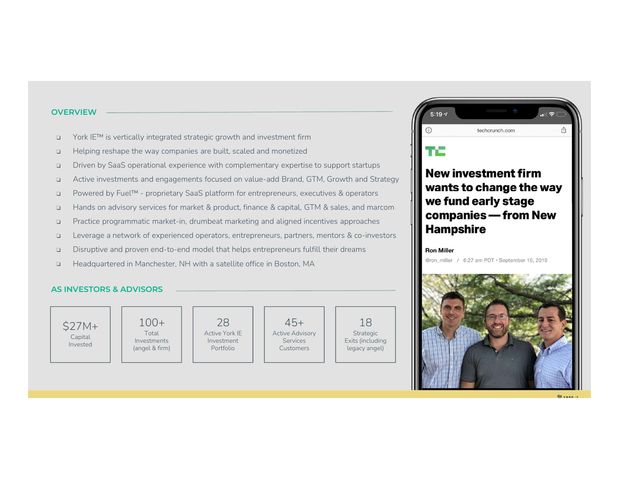#### **OVERVIEW**

- ❏ York IE™ is vertically integrated strategic growth and investment firm
- ❏ Helping reshape the way companies are built, scaled and monetized
- □ Driven by SaaS operational experience with complementary expertise to support startups **New investment firm**
- □ Active investments and engagements focused on value-add Brand, GTM, Growth and Strategy **Wants to change the way**
- 
- 
- □ Practice programmatic market-in, drumbeat marketing and aligned incentives approaches **All Hampshire**
- ❏ Leverage a network of experienced operators, entrepreneurs, partners, mentors & co-investors
- ❏ Disruptive and proven end-to-end model that helps entrepreneurs fulfill their dreams
- ❏ Headquartered in Manchester, NH with a satellite office in Boston, MA

#### AS INVESTORS & ADVISORS

\$27M+ Capital Invested

100+  $|$  | 28 Total Investments (angel & firm)

28 || 45+ || 18 Active York IE Investment Portfolio Active Advisory Customers

**Services** 

18 Strategic Exits (including legacy angel)



**GE VORK**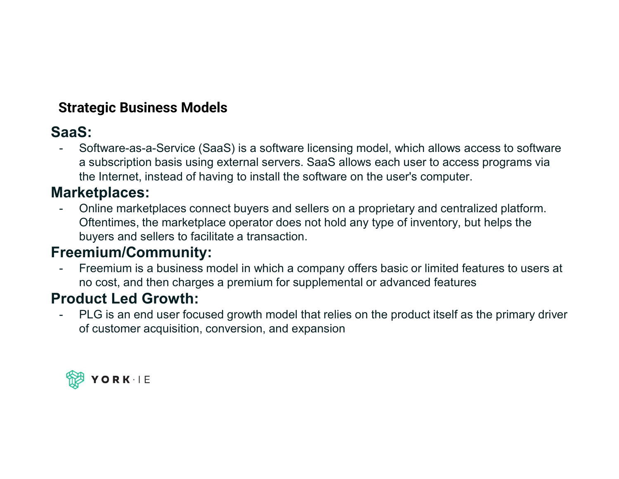## Strategic Business Models

# SaaS:

**Strategic Business Models**<br>**aaS:**<br>- Software-as-a-Service (SaaS) is a software licensing model, which allows access to software<br>a subscription basis using external servers. SaaS allows each user to access programs via<br>the a subscription basis using external servers. SaaS allows each user to access programs via the Internet, instead of having to install the software on the user's computer. Strategic Business Models<br>
Free Massican Contents and Server in a subscription basis using external servers. SaaS allows each user to access programs via<br>
the Internet, instead of having to install the software on the user **Example 20**<br> **Example 20**<br> **Example 20**<br> **Example 20**<br> **Example 20**<br> **Example 20**<br> **Example 20**<br> **Example 20**<br> **Example 20**<br> **Example 20**<br> **Example 20**<br> **Example 20**<br> **Confinement instead of having to install the software** 

### Marketplaces:

- Online marketplaces connect buyers and sellers on a proprietary and centralized platform. Oftentimes, the marketplace operator does not hold any type of inventory, but helps the buyers and sellers to facilitate a transaction.

## Freemium/Community:

no cost, and then charges a premium for supplemental or advanced features

#### Product Led Growth:

of customer acquisition, conversion, and expansion